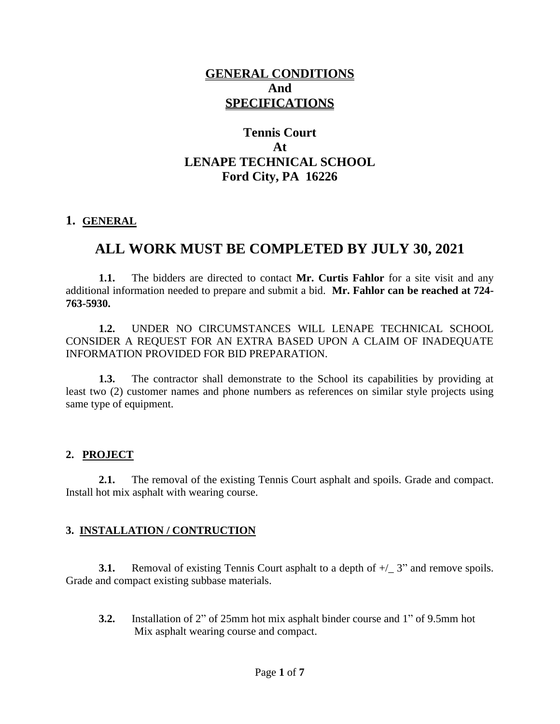# **GENERAL CONDITIONS And SPECIFICATIONS**

# **Tennis Court At LENAPE TECHNICAL SCHOOL Ford City, PA 16226**

#### **1. GENERAL**

# **ALL WORK MUST BE COMPLETED BY JULY 30, 2021**

**1.1.** The bidders are directed to contact **Mr. Curtis Fahlor** for a site visit and any additional information needed to prepare and submit a bid. **Mr. Fahlor can be reached at 724- 763-5930.**

**1.2.** UNDER NO CIRCUMSTANCES WILL LENAPE TECHNICAL SCHOOL CONSIDER A REQUEST FOR AN EXTRA BASED UPON A CLAIM OF INADEQUATE INFORMATION PROVIDED FOR BID PREPARATION.

**1.3.** The contractor shall demonstrate to the School its capabilities by providing at least two (2) customer names and phone numbers as references on similar style projects using same type of equipment.

#### **2. PROJECT**

**2.1.** The removal of the existing Tennis Court asphalt and spoils. Grade and compact. Install hot mix asphalt with wearing course.

### **3. INSTALLATION / CONTRUCTION**

**3.1.** Removal of existing Tennis Court asphalt to a depth of  $+/-$  3" and remove spoils. Grade and compact existing subbase materials.

**3.2.** Installation of 2" of 25mm hot mix asphalt binder course and 1" of 9.5mm hot Mix asphalt wearing course and compact.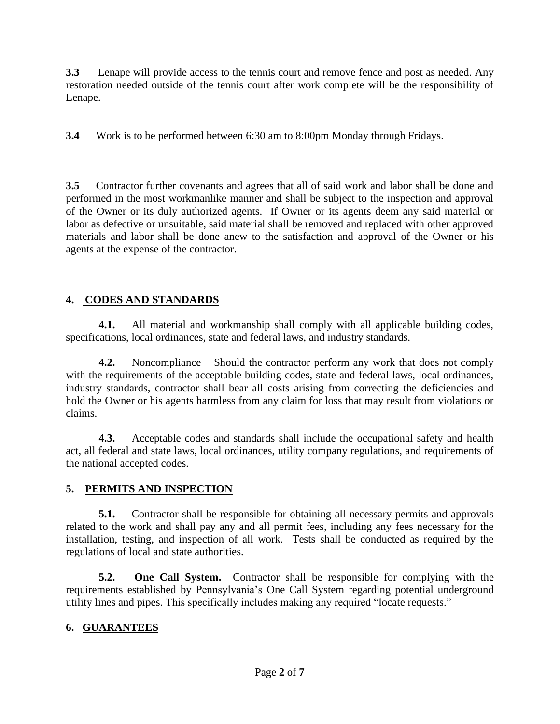**3.3** Lenape will provide access to the tennis court and remove fence and post as needed. Any restoration needed outside of the tennis court after work complete will be the responsibility of Lenape.

**3.4** Work is to be performed between 6:30 am to 8:00pm Monday through Fridays.

**3.5** Contractor further covenants and agrees that all of said work and labor shall be done and performed in the most workmanlike manner and shall be subject to the inspection and approval of the Owner or its duly authorized agents. If Owner or its agents deem any said material or labor as defective or unsuitable, said material shall be removed and replaced with other approved materials and labor shall be done anew to the satisfaction and approval of the Owner or his agents at the expense of the contractor.

## **4. CODES AND STANDARDS**

**4.1.** All material and workmanship shall comply with all applicable building codes, specifications, local ordinances, state and federal laws, and industry standards.

**4.2.** Noncompliance – Should the contractor perform any work that does not comply with the requirements of the acceptable building codes, state and federal laws, local ordinances, industry standards, contractor shall bear all costs arising from correcting the deficiencies and hold the Owner or his agents harmless from any claim for loss that may result from violations or claims.

**4.3.** Acceptable codes and standards shall include the occupational safety and health act, all federal and state laws, local ordinances, utility company regulations, and requirements of the national accepted codes.

## **5. PERMITS AND INSPECTION**

**5.1.** Contractor shall be responsible for obtaining all necessary permits and approvals related to the work and shall pay any and all permit fees, including any fees necessary for the installation, testing, and inspection of all work. Tests shall be conducted as required by the regulations of local and state authorities.

**5.2. One Call System.** Contractor shall be responsible for complying with the requirements established by Pennsylvania's One Call System regarding potential underground utility lines and pipes. This specifically includes making any required "locate requests."

## **6. GUARANTEES**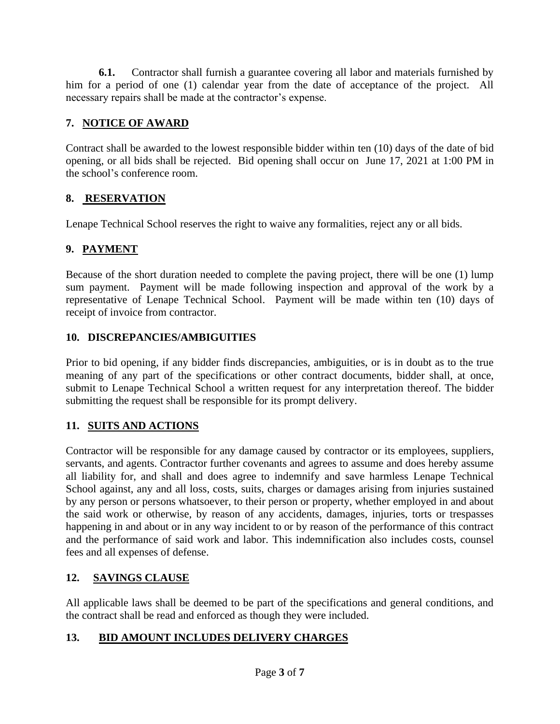**6.1.** Contractor shall furnish a guarantee covering all labor and materials furnished by him for a period of one (1) calendar year from the date of acceptance of the project. All necessary repairs shall be made at the contractor's expense.

## **7. NOTICE OF AWARD**

Contract shall be awarded to the lowest responsible bidder within ten (10) days of the date of bid opening, or all bids shall be rejected. Bid opening shall occur on June 17, 2021 at 1:00 PM in the school's conference room.

## **8. RESERVATION**

Lenape Technical School reserves the right to waive any formalities, reject any or all bids.

## **9. PAYMENT**

 Because of the short duration needed to complete the paving project, there will be one (1) lump sum payment. Payment will be made following inspection and approval of the work by a representative of Lenape Technical School. Payment will be made within ten (10) days of receipt of invoice from contractor.

### **10. DISCREPANCIES/AMBIGUITIES**

Prior to bid opening, if any bidder finds discrepancies, ambiguities, or is in doubt as to the true meaning of any part of the specifications or other contract documents, bidder shall, at once, submit to Lenape Technical School a written request for any interpretation thereof. The bidder submitting the request shall be responsible for its prompt delivery.

## **11. SUITS AND ACTIONS**

Contractor will be responsible for any damage caused by contractor or its employees, suppliers, servants, and agents. Contractor further covenants and agrees to assume and does hereby assume all liability for, and shall and does agree to indemnify and save harmless Lenape Technical School against, any and all loss, costs, suits, charges or damages arising from injuries sustained by any person or persons whatsoever, to their person or property, whether employed in and about the said work or otherwise, by reason of any accidents, damages, injuries, torts or trespasses happening in and about or in any way incident to or by reason of the performance of this contract and the performance of said work and labor. This indemnification also includes costs, counsel fees and all expenses of defense.

## **12. SAVINGS CLAUSE**

All applicable laws shall be deemed to be part of the specifications and general conditions, and the contract shall be read and enforced as though they were included.

## **13. BID AMOUNT INCLUDES DELIVERY CHARGES**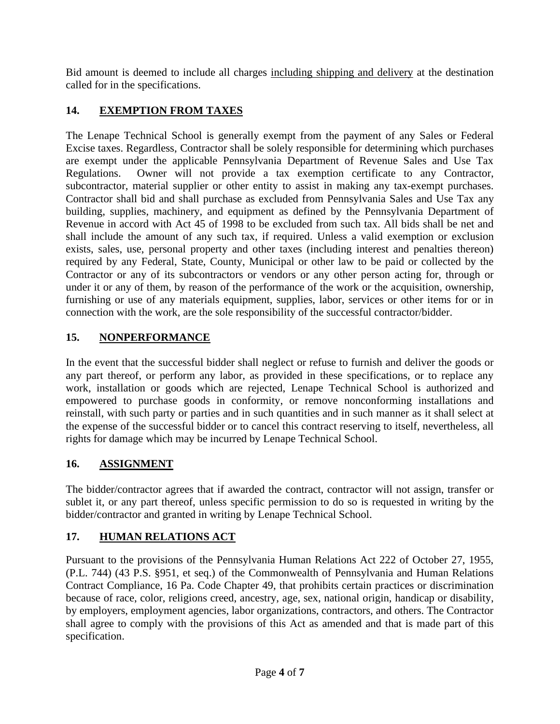Bid amount is deemed to include all charges including shipping and delivery at the destination called for in the specifications.

# **14. EXEMPTION FROM TAXES**

The Lenape Technical School is generally exempt from the payment of any Sales or Federal Excise taxes. Regardless, Contractor shall be solely responsible for determining which purchases are exempt under the applicable Pennsylvania Department of Revenue Sales and Use Tax Regulations. Owner will not provide a tax exemption certificate to any Contractor, subcontractor, material supplier or other entity to assist in making any tax-exempt purchases. Contractor shall bid and shall purchase as excluded from Pennsylvania Sales and Use Tax any building, supplies, machinery, and equipment as defined by the Pennsylvania Department of Revenue in accord with Act 45 of 1998 to be excluded from such tax. All bids shall be net and shall include the amount of any such tax, if required. Unless a valid exemption or exclusion exists, sales, use, personal property and other taxes (including interest and penalties thereon) required by any Federal, State, County, Municipal or other law to be paid or collected by the Contractor or any of its subcontractors or vendors or any other person acting for, through or under it or any of them, by reason of the performance of the work or the acquisition, ownership, furnishing or use of any materials equipment, supplies, labor, services or other items for or in connection with the work, are the sole responsibility of the successful contractor/bidder.

## **15. NONPERFORMANCE**

In the event that the successful bidder shall neglect or refuse to furnish and deliver the goods or any part thereof, or perform any labor, as provided in these specifications, or to replace any work, installation or goods which are rejected, Lenape Technical School is authorized and empowered to purchase goods in conformity, or remove nonconforming installations and reinstall, with such party or parties and in such quantities and in such manner as it shall select at the expense of the successful bidder or to cancel this contract reserving to itself, nevertheless, all rights for damage which may be incurred by Lenape Technical School.

## **16. ASSIGNMENT**

The bidder/contractor agrees that if awarded the contract, contractor will not assign, transfer or sublet it, or any part thereof, unless specific permission to do so is requested in writing by the bidder/contractor and granted in writing by Lenape Technical School.

## **17. HUMAN RELATIONS ACT**

Pursuant to the provisions of the Pennsylvania Human Relations Act 222 of October 27, 1955, (P.L. 744) (43 P.S. §951, et seq.) of the Commonwealth of Pennsylvania and Human Relations Contract Compliance, 16 Pa. Code Chapter 49, that prohibits certain practices or discrimination because of race, color, religions creed, ancestry, age, sex, national origin, handicap or disability, by employers, employment agencies, labor organizations, contractors, and others. The Contractor shall agree to comply with the provisions of this Act as amended and that is made part of this specification.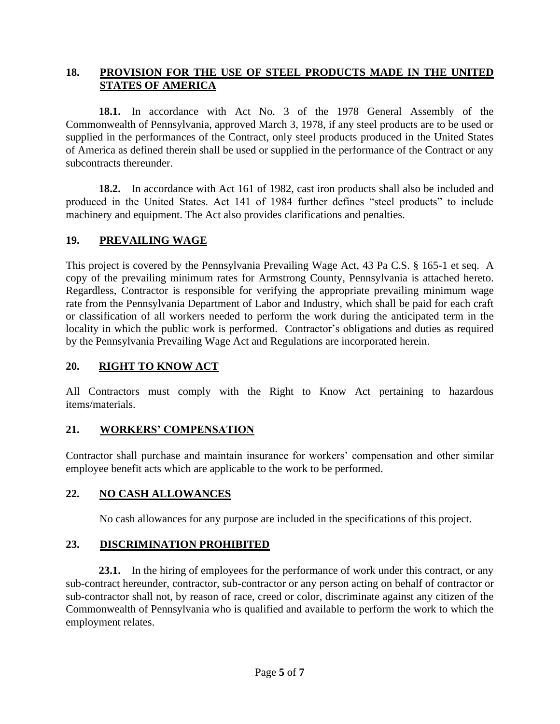### **18. PROVISION FOR THE USE OF STEEL PRODUCTS MADE IN THE UNITED STATES OF AMERICA**

**18.1.** In accordance with Act No. 3 of the 1978 General Assembly of the Commonwealth of Pennsylvania, approved March 3, 1978, if any steel products are to be used or supplied in the performances of the Contract, only steel products produced in the United States of America as defined therein shall be used or supplied in the performance of the Contract or any subcontracts thereunder.

**18.2.** In accordance with Act 161 of 1982, cast iron products shall also be included and produced in the United States. Act 141 of 1984 further defines "steel products" to include machinery and equipment. The Act also provides clarifications and penalties.

### **19. PREVAILING WAGE**

This project is covered by the Pennsylvania Prevailing Wage Act, 43 Pa C.S. § 165-1 et seq. A copy of the prevailing minimum rates for Armstrong County, Pennsylvania is attached hereto. Regardless, Contractor is responsible for verifying the appropriate prevailing minimum wage rate from the Pennsylvania Department of Labor and Industry, which shall be paid for each craft or classification of all workers needed to perform the work during the anticipated term in the locality in which the public work is performed. Contractor's obligations and duties as required by the Pennsylvania Prevailing Wage Act and Regulations are incorporated herein.

#### **20. RIGHT TO KNOW ACT**

All Contractors must comply with the Right to Know Act pertaining to hazardous items/materials.

### **21. WORKERS' COMPENSATION**

Contractor shall purchase and maintain insurance for workers' compensation and other similar employee benefit acts which are applicable to the work to be performed.

### **22. NO CASH ALLOWANCES**

No cash allowances for any purpose are included in the specifications of this project.

### **23. DISCRIMINATION PROHIBITED**

23.1. In the hiring of employees for the performance of work under this contract, or any sub-contract hereunder, contractor, sub-contractor or any person acting on behalf of contractor or sub-contractor shall not, by reason of race, creed or color, discriminate against any citizen of the Commonwealth of Pennsylvania who is qualified and available to perform the work to which the employment relates.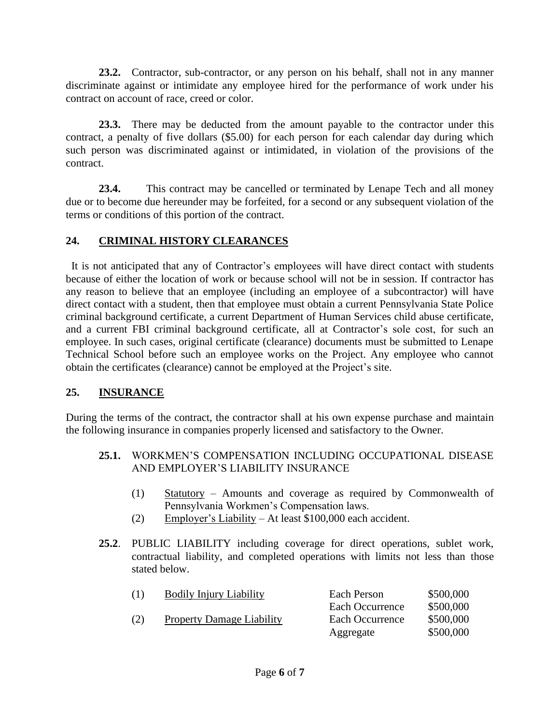**23.2.** Contractor, sub-contractor, or any person on his behalf, shall not in any manner discriminate against or intimidate any employee hired for the performance of work under his contract on account of race, creed or color.

**23.3.** There may be deducted from the amount payable to the contractor under this contract, a penalty of five dollars (\$5.00) for each person for each calendar day during which such person was discriminated against or intimidated, in violation of the provisions of the contract.

**23.4.** This contract may be cancelled or terminated by Lenape Tech and all money due or to become due hereunder may be forfeited, for a second or any subsequent violation of the terms or conditions of this portion of the contract.

### **24. CRIMINAL HISTORY CLEARANCES**

 It is not anticipated that any of Contractor's employees will have direct contact with students because of either the location of work or because school will not be in session. If contractor has any reason to believe that an employee (including an employee of a subcontractor) will have direct contact with a student, then that employee must obtain a current Pennsylvania State Police criminal background certificate, a current Department of Human Services child abuse certificate, and a current FBI criminal background certificate, all at Contractor's sole cost, for such an employee. In such cases, original certificate (clearance) documents must be submitted to Lenape Technical School before such an employee works on the Project. Any employee who cannot obtain the certificates (clearance) cannot be employed at the Project's site.

### **25. INSURANCE**

During the terms of the contract, the contractor shall at his own expense purchase and maintain the following insurance in companies properly licensed and satisfactory to the Owner.

- **25.1.** WORKMEN'S COMPENSATION INCLUDING OCCUPATIONAL DISEASE AND EMPLOYER'S LIABILITY INSURANCE
	- (1) Statutory Amounts and coverage as required by Commonwealth of Pennsylvania Workmen's Compensation laws.
	- (2) Employer's Liability At least \$100,000 each accident.
- **25.2**. PUBLIC LIABILITY including coverage for direct operations, sublet work, contractual liability, and completed operations with limits not less than those stated below.

| (1) | <b>Bodily Injury Liability</b>   | Each Person     | \$500,000 |
|-----|----------------------------------|-----------------|-----------|
|     |                                  | Each Occurrence | \$500,000 |
| (2) | <b>Property Damage Liability</b> | Each Occurrence | \$500,000 |
|     |                                  | Aggregate       | \$500,000 |